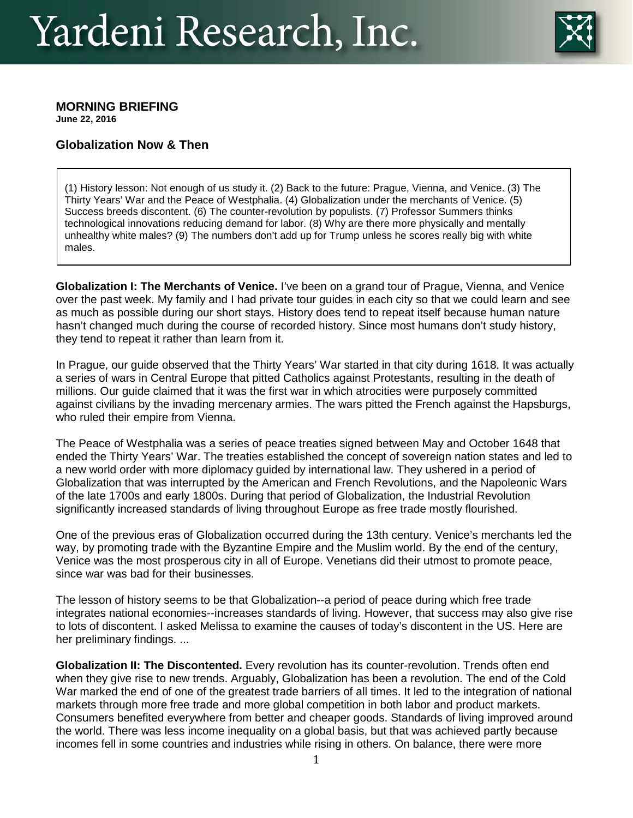# Yardeni Research, Inc.



## **MORNING BRIEFING**

**June 22, 2016**

## **Globalization Now & Then**

(1) History lesson: Not enough of us study it. (2) Back to the future: Prague, Vienna, and Venice. (3) The Thirty Years' War and the Peace of Westphalia. (4) Globalization under the merchants of Venice. (5) Success breeds discontent. (6) The counter-revolution by populists. (7) Professor Summers thinks technological innovations reducing demand for labor. (8) Why are there more physically and mentally unhealthy white males? (9) The numbers don't add up for Trump unless he scores really big with white males.

**Globalization I: The Merchants of Venice.** I've been on a grand tour of Prague, Vienna, and Venice over the past week. My family and I had private tour guides in each city so that we could learn and see as much as possible during our short stays. History does tend to repeat itself because human nature hasn't changed much during the course of recorded history. Since most humans don't study history, they tend to repeat it rather than learn from it.

In Prague, our guide observed that the Thirty Years' War started in that city during 1618. It was actually a series of wars in Central Europe that pitted Catholics against Protestants, resulting in the death of millions. Our guide claimed that it was the first war in which atrocities were purposely committed against civilians by the invading mercenary armies. The wars pitted the French against the Hapsburgs, who ruled their empire from Vienna.

The Peace of Westphalia was a series of peace treaties signed between May and October 1648 that ended the Thirty Years' War. The treaties established the concept of sovereign nation states and led to a new world order with more diplomacy guided by international law. They ushered in a period of Globalization that was interrupted by the American and French Revolutions, and the Napoleonic Wars of the late 1700s and early 1800s. During that period of Globalization, the Industrial Revolution significantly increased standards of living throughout Europe as free trade mostly flourished.

One of the previous eras of Globalization occurred during the 13th century. Venice's merchants led the way, by promoting trade with the Byzantine Empire and the Muslim world. By the end of the century, Venice was the most prosperous city in all of Europe. Venetians did their utmost to promote peace, since war was bad for their businesses.

The lesson of history seems to be that Globalization--a period of peace during which free trade integrates national economies--increases standards of living. However, that success may also give rise to lots of discontent. I asked Melissa to examine the causes of today's discontent in the US. Here are her preliminary findings. ...

**Globalization II: The Discontented.** Every revolution has its counter-revolution. Trends often end when they give rise to new trends. Arguably, Globalization has been a revolution. The end of the Cold War marked the end of one of the greatest trade barriers of all times. It led to the integration of national markets through more free trade and more global competition in both labor and product markets. Consumers benefited everywhere from better and cheaper goods. Standards of living improved around the world. There was less income inequality on a global basis, but that was achieved partly because incomes fell in some countries and industries while rising in others. On balance, there were more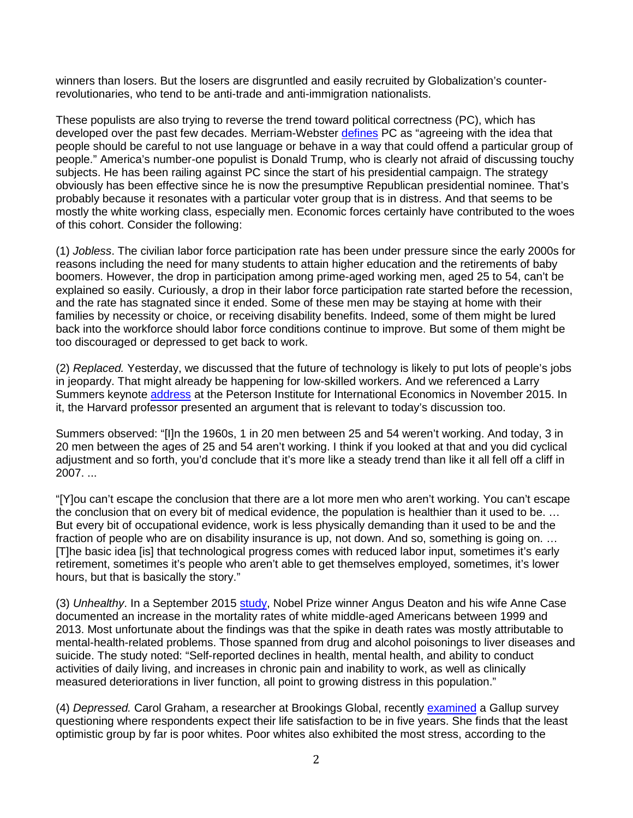winners than losers. But the losers are disgruntled and easily recruited by Globalization's counterrevolutionaries, who tend to be anti-trade and anti-immigration nationalists.

These populists are also trying to reverse the trend toward political correctness (PC), which has developed over the past few decades. Merriam-Webster [defines](http://www.merriam-webster.com/dictionary/politically%20correct) PC as "agreeing with the idea that people should be careful to not use language or behave in a way that could offend a particular group of people." America's number-one populist is Donald Trump, who is clearly not afraid of discussing touchy subjects. He has been railing against PC since the start of his presidential campaign. The strategy obviously has been effective since he is now the presumptive Republican presidential nominee. That's probably because it resonates with a particular voter group that is in distress. And that seems to be mostly the white working class, especially men. Economic forces certainly have contributed to the woes of this cohort. Consider the following:

(1) *Jobless*. The civilian labor force participation rate has been under pressure since the early 2000s for reasons including the need for many students to attain higher education and the retirements of baby boomers. However, the drop in participation among prime-aged working men, aged 25 to 54, can't be explained so easily. Curiously, a drop in their labor force participation rate started before the recession, and the rate has stagnated since it ended. Some of these men may be staying at home with their families by necessity or choice, or receiving disability benefits. Indeed, some of them might be lured back into the workforce should labor force conditions continue to improve. But some of them might be too discouraged or depressed to get back to work.

(2) *Replaced.* Yesterday, we discussed that the future of technology is likely to put lots of people's jobs in jeopardy. That might already be happening for low-skilled workers. And we referenced a Larry Summers keynote [address](https://piie.com/sites/default/files/publications/papers/transcript-20151116keynote.pdf) at the Peterson Institute for International Economics in November 2015. In it, the Harvard professor presented an argument that is relevant to today's discussion too.

Summers observed: "[I]n the 1960s, 1 in 20 men between 25 and 54 weren't working. And today, 3 in 20 men between the ages of 25 and 54 aren't working. I think if you looked at that and you did cyclical adjustment and so forth, you'd conclude that it's more like a steady trend than like it all fell off a cliff in 2007. ...

"[Y]ou can't escape the conclusion that there are a lot more men who aren't working. You can't escape the conclusion that on every bit of medical evidence, the population is healthier than it used to be. … But every bit of occupational evidence, work is less physically demanding than it used to be and the fraction of people who are on disability insurance is up, not down. And so, something is going on. ... [T]he basic idea [is] that technological progress comes with reduced labor input, sometimes it's early retirement, sometimes it's people who aren't able to get themselves employed, sometimes, it's lower hours, but that is basically the story."

(3) *Unhealthy*. In a September 2015 [study,](http://www.pnas.org/content/112/49/15078.full) Nobel Prize winner Angus Deaton and his wife Anne Case documented an increase in the mortality rates of white middle-aged Americans between 1999 and 2013. Most unfortunate about the findings was that the spike in death rates was mostly attributable to mental-health-related problems. Those spanned from drug and alcohol poisonings to liver diseases and suicide. The study noted: "Self-reported declines in health, mental health, and ability to conduct activities of daily living, and increases in chronic pain and inability to work, as well as clinically measured deteriorations in liver function, all point to growing distress in this population."

(4) *Depressed.* Carol Graham, a researcher at Brookings Global, recently [examined](http://www.brookings.edu/research/opinions/2016/05/27-unhappiness-in-america-graham) a Gallup survey questioning where respondents expect their life satisfaction to be in five years. She finds that the least optimistic group by far is poor whites. Poor whites also exhibited the most stress, according to the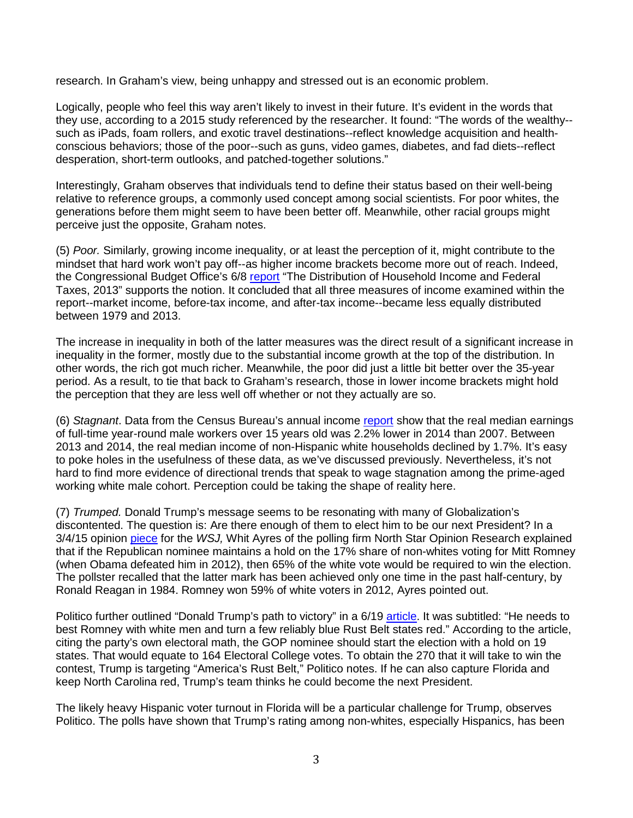research. In Graham's view, being unhappy and stressed out is an economic problem.

Logically, people who feel this way aren't likely to invest in their future. It's evident in the words that they use, according to a 2015 study referenced by the researcher. It found: "The words of the wealthy- such as iPads, foam rollers, and exotic travel destinations--reflect knowledge acquisition and healthconscious behaviors; those of the poor--such as guns, video games, diabetes, and fad diets--reflect desperation, short-term outlooks, and patched-together solutions."

Interestingly, Graham observes that individuals tend to define their status based on their well-being relative to reference groups, a commonly used concept among social scientists. For poor whites, the generations before them might seem to have been better off. Meanwhile, other racial groups might perceive just the opposite, Graham notes.

(5) *Poor.* Similarly, growing income inequality, or at least the perception of it, might contribute to the mindset that hard work won't pay off--as higher income brackets become more out of reach. Indeed, the Congressional Budget Office's 6/8 [report](https://www.cbo.gov/publication/51361) "The Distribution of Household Income and Federal Taxes, 2013" supports the notion. It concluded that all three measures of income examined within the report--market income, before-tax income, and after-tax income--became less equally distributed between 1979 and 2013.

The increase in inequality in both of the latter measures was the direct result of a significant increase in inequality in the former, mostly due to the substantial income growth at the top of the distribution. In other words, the rich got much richer. Meanwhile, the poor did just a little bit better over the 35-year period. As a result, to tie that back to Graham's research, those in lower income brackets might hold the perception that they are less well off whether or not they actually are so.

(6) *Stagnant*. Data from the Census Bureau's annual income [report](http://www.census.gov/content/dam/Census/library/publications/2015/demo/p60-252.pdf) show that the real median earnings of full-time year-round male workers over 15 years old was 2.2% lower in 2014 than 2007. Between 2013 and 2014, the real median income of non-Hispanic white households declined by 1.7%. It's easy to poke holes in the usefulness of these data, as we've discussed previously. Nevertheless, it's not hard to find more evidence of directional trends that speak to wage stagnation among the prime-aged working white male cohort. Perception could be taking the shape of reality here.

(7) *Trumped.* Donald Trump's message seems to be resonating with many of Globalization's discontented. The question is: Are there enough of them to elect him to be our next President? In a 3/4/15 opinion [piece](http://www.wsj.com/articles/whit-ayres-a-daunting-demographic-challenge-for-the-gop-in-2016-1425513162) for the *WSJ,* Whit Ayres of the polling firm North Star Opinion Research explained that if the Republican nominee maintains a hold on the 17% share of non-whites voting for Mitt Romney (when Obama defeated him in 2012), then 65% of the white vote would be required to win the election. The pollster recalled that the latter mark has been achieved only one time in the past half-century, by Ronald Reagan in 1984. Romney won 59% of white voters in 2012, Ayres pointed out.

Politico further outlined "Donald Trump's path to victory" in a 6/19 [article.](http://www.politico.com/story/2016/06/donald-trump-path-to-victory-224239) It was subtitled: "He needs to best Romney with white men and turn a few reliably blue Rust Belt states red." According to the article, citing the party's own electoral math, the GOP nominee should start the election with a hold on 19 states. That would equate to 164 Electoral College votes. To obtain the 270 that it will take to win the contest, Trump is targeting "America's Rust Belt," Politico notes. If he can also capture Florida and keep North Carolina red, Trump's team thinks he could become the next President.

The likely heavy Hispanic voter turnout in Florida will be a particular challenge for Trump, observes Politico. The polls have shown that Trump's rating among non-whites, especially Hispanics, has been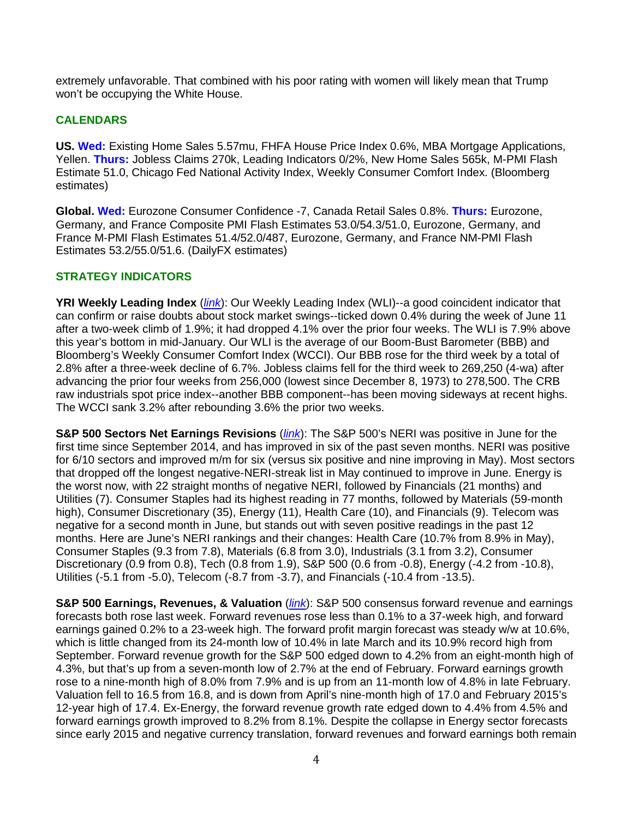extremely unfavorable. That combined with his poor rating with women will likely mean that Trump won't be occupying the White House.

#### **CALENDARS**

**US. Wed:** Existing Home Sales 5.57mu, FHFA House Price Index 0.6%, MBA Mortgage Applications, Yellen. **Thurs:** Jobless Claims 270k, Leading Indicators 0/2%, New Home Sales 565k, M-PMI Flash Estimate 51.0, Chicago Fed National Activity Index, Weekly Consumer Comfort Index. (Bloomberg estimates)

**Global. Wed:** Eurozone Consumer Confidence -7, Canada Retail Sales 0.8%. **Thurs:** Eurozone, Germany, and France Composite PMI Flash Estimates 53.0/54.3/51.0, Eurozone, Germany, and France M-PMI Flash Estimates 51.4/52.0/487, Eurozone, Germany, and France NM-PMI Flash Estimates 53.2/55.0/51.6. (DailyFX estimates)

#### **STRATEGY INDICATORS**

**YRI Weekly Leading Index** (*[link](http://www.yardeni.com/Pub/stmktfsmi.pdf)*): Our Weekly Leading Index (WLI)--a good coincident indicator that can confirm or raise doubts about stock market swings--ticked down 0.4% during the week of June 11 after a two-week climb of 1.9%; it had dropped 4.1% over the prior four weeks. The WLI is 7.9% above this year's bottom in mid-January. Our WLI is the average of our Boom-Bust Barometer (BBB) and Bloomberg's Weekly Consumer Comfort Index (WCCI). Our BBB rose for the third week by a total of 2.8% after a three-week decline of 6.7%. Jobless claims fell for the third week to 269,250 (4-wa) after advancing the prior four weeks from 256,000 (lowest since December 8, 1973) to 278,500. The CRB raw industrials spot price index--another BBB component--has been moving sideways at recent highs. The WCCI sank 3.2% after rebounding 3.6% the prior two weeks.

**S&P 500 Sectors Net Earnings Revisions** (*[link](http://www.yardeni.com/Pub/peacocksp500.pdf)*): The S&P 500's NERI was positive in June for the first time since September 2014, and has improved in six of the past seven months. NERI was positive for 6/10 sectors and improved m/m for six (versus six positive and nine improving in May). Most sectors that dropped off the longest negative-NERI-streak list in May continued to improve in June. Energy is the worst now, with 22 straight months of negative NERI, followed by Financials (21 months) and Utilities (7). Consumer Staples had its highest reading in 77 months, followed by Materials (59-month high), Consumer Discretionary (35), Energy (11), Health Care (10), and Financials (9). Telecom was negative for a second month in June, but stands out with seven positive readings in the past 12 months. Here are June's NERI rankings and their changes: Health Care (10.7% from 8.9% in May), Consumer Staples (9.3 from 7.8), Materials (6.8 from 3.0), Industrials (3.1 from 3.2), Consumer Discretionary (0.9 from 0.8), Tech (0.8 from 1.9), S&P 500 (0.6 from -0.8), Energy (-4.2 from -10.8), Utilities (-5.1 from -5.0), Telecom (-8.7 from -3.7), and Financials (-10.4 from -13.5).

**S&P 500 Earnings, Revenues, & Valuation** (*[link](http://www.yardeni.com/Pub/peacocksp500tables.pdf)*): S&P 500 consensus forward revenue and earnings forecasts both rose last week. Forward revenues rose less than 0.1% to a 37-week high, and forward earnings gained 0.2% to a 23-week high. The forward profit margin forecast was steady w/w at 10.6%, which is little changed from its 24-month low of 10.4% in late March and its 10.9% record high from September. Forward revenue growth for the S&P 500 edged down to 4.2% from an eight-month high of 4.3%, but that's up from a seven-month low of 2.7% at the end of February. Forward earnings growth rose to a nine-month high of 8.0% from 7.9% and is up from an 11-month low of 4.8% in late February. Valuation fell to 16.5 from 16.8, and is down from April's nine-month high of 17.0 and February 2015's 12-year high of 17.4. Ex-Energy, the forward revenue growth rate edged down to 4.4% from 4.5% and forward earnings growth improved to 8.2% from 8.1%. Despite the collapse in Energy sector forecasts since early 2015 and negative currency translation, forward revenues and forward earnings both remain